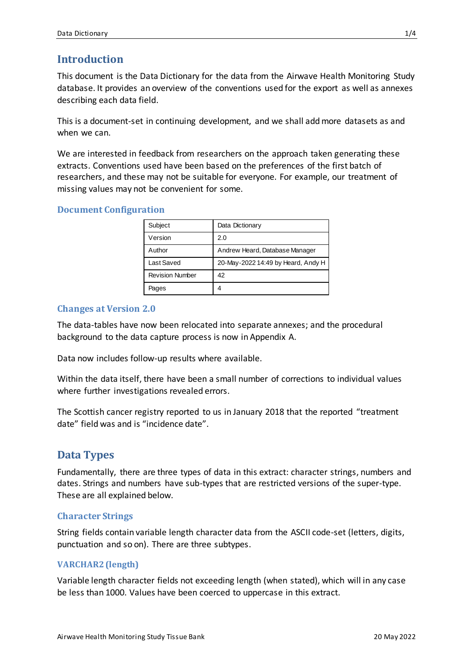# **Introduction**

This document is the Data Dictionary for the data from the Airwave Health Monitoring Study database. It provides an overview of the conventions used for the export as well as annexes describing each data field.

This is a document-set in continuing development, and we shall add more datasets as and when we can.

We are interested in feedback from researchers on the approach taken generating these extracts. Conventions used have been based on the preferences of the first batch of researchers, and these may not be suitable for everyone. For example, our treatment of missing values may not be convenient for some.

#### **Document Configuration**

| Subject                | Data Dictionary                    |
|------------------------|------------------------------------|
| Version                | 2.0                                |
| Author                 | Andrew Heard, Database Manager     |
| Last Saved             | 20-May-2022 14:49 by Heard, Andy H |
| <b>Revision Number</b> | 42                                 |
| Pages                  | 4                                  |

## **Changes at Version 2.0**

The data-tables have now been relocated into separate annexes; and the procedural background to the data capture process is now in Appendix A.

Data now includes follow-up results where available.

Within the data itself, there have been a small number of corrections to individual values where further investigations revealed errors.

The Scottish cancer registry reported to us in January 2018 that the reported "treatment date" field was and is "incidence date".

# **Data Types**

Fundamentally, there are three types of data in this extract: character strings, numbers and dates. Strings and numbers have sub-types that are restricted versions of the super-type. These are all explained below.

#### **Character Strings**

String fields contain variable length character data from the ASCII code-set (letters, digits, punctuation and so on). There are three subtypes.

#### **VARCHAR2 (length)**

Variable length character fields not exceeding length (when stated), which will in any case be less than 1000. Values have been coerced to uppercase in this extract.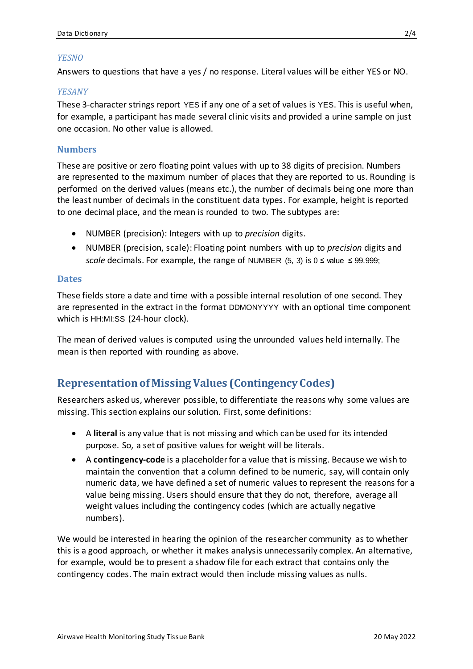#### *YESNO*

Answers to questions that have a yes / no response. Literal values will be either YES or NO.

#### *YESANY*

These 3-character strings report YES if any one of a set of values is YES. This is useful when, for example, a participant has made several clinic visits and provided a urine sample on just one occasion. No other value is allowed.

#### **Numbers**

These are positive or zero floating point values with up to 38 digits of precision. Numbers are represented to the maximum number of places that they are reported to us. Rounding is performed on the derived values (means etc.), the number of decimals being one more than the least number of decimals in the constituent data types. For example, height is reported to one decimal place, and the mean is rounded to two. The subtypes are:

- NUMBER (precision): Integers with up to *precision* digits.
- NUMBER (precision, scale): Floating point numbers with up to *precision* digits and *scale* decimals. For example, the range of NUMBER (5, 3) is  $0 \le$  value  $\le$  99.999;

#### **Dates**

These fields store a date and time with a possible internal resolution of one second. They are represented in the extract in the format DDMONYYYY with an optional time component which is HH:MI:SS (24-hour clock).

The mean of derived values is computed using the unrounded values held internally. The mean is then reported with rounding as above.

# **Representation of Missing Values (Contingency Codes)**

Researchers asked us, wherever possible, to differentiate the reasons why some values are missing. This section explains our solution. First, some definitions:

- A **literal** is any value that is not missing and which can be used for its intended purpose. So, a set of positive values for weight will be literals.
- A **contingency-code** is a placeholder for a value that is missing. Because we wish to maintain the convention that a column defined to be numeric, say, will contain only numeric data, we have defined a set of numeric values to represent the reasons for a value being missing. Users should ensure that they do not, therefore, average all weight values including the contingency codes (which are actually negative numbers).

We would be interested in hearing the opinion of the researcher community as to whether this is a good approach, or whether it makes analysis unnecessarily complex. An alternative, for example, would be to present a shadow file for each extract that contains only the contingency codes. The main extract would then include missing values as nulls.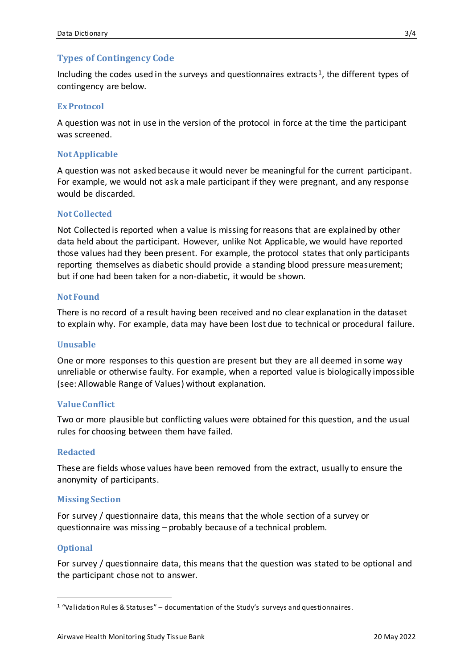## **Types of Contingency Code**

Including the codes used in the surveys and questionnaires extracts<sup>1</sup>, the different types of contingency are below.

#### **Ex Protocol**

A question was not in use in the version of the protocol in force at the time the participant was screened.

#### **Not Applicable**

A question was not asked because it would never be meaningful for the current participant. For example, we would not ask a male participant if they were pregnant, and any response would be discarded.

#### **Not Collected**

Not Collected is reported when a value is missing for reasons that are explained by other data held about the participant. However, unlike Not Applicable, we would have reported those values had they been present. For example, the protocol states that only participants reporting themselves as diabetic should provide a standing blood pressure measurement; but if one had been taken for a non-diabetic, it would be shown.

#### **Not Found**

There is no record of a result having been received and no clear explanation in the dataset to explain why. For example, data may have been lost due to technical or procedural failure.

#### **Unusable**

One or more responses to this question are present but they are all deemed in some way unreliable or otherwise faulty. For example, when a reported value is biologically impossible (see: Allowable Range of Values) without explanation.

#### **Value Conflict**

Two or more plausible but conflicting values were obtained for this question, and the usual rules for choosing between them have failed.

#### **Redacted**

These are fields whose values have been removed from the extract, usually to ensure the anonymity of participants.

#### **Missing Section**

For survey / questionnaire data, this means that the whole section of a survey or questionnaire was missing – probably because of a technical problem.

#### **Optional**

 $\overline{a}$ 

For survey / questionnaire data, this means that the question was stated to be optional and the participant chose not to answer.

 $1$  "Validation Rules & Statuses" – documentation of the Study's surveys and questionnaires.